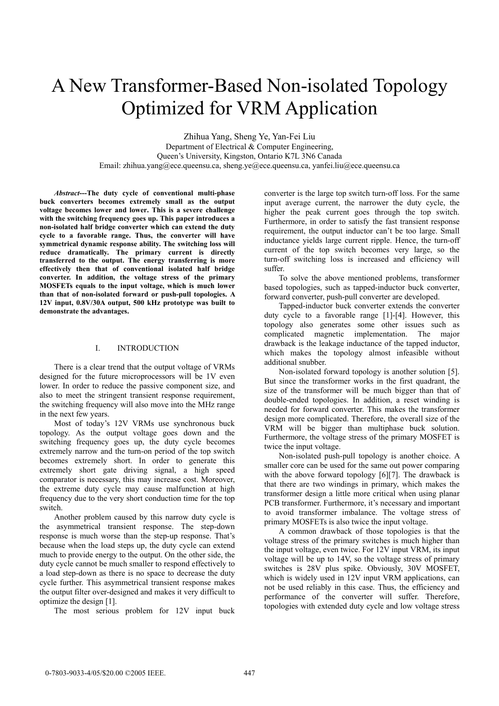# A New Transformer-Based Non-isolated Topology Optimized for VRM Application

Zhihua Yang, Sheng Ye, Yan-Fei Liu Department of Electrical & Computer Engineering, Queen's University, Kingston, Ontario K7L 3N6 Canada Email: zhihua.yang@ece.queensu.ca, sheng.ye@ece.queensu.ca, yanfei.liu@ece.queensu.ca

*Abstract***---The duty cycle of conventional multi-phase buck converters becomes extremely small as the output voltage becomes lower and lower. This is a severe challenge with the switching frequency goes up. This paper introduces a non-isolated half bridge converter which can extend the duty cycle to a favorable range. Thus, the converter will have symmetrical dynamic response ability. The switching loss will reduce dramatically. The primary current is directly transferred to the output. The energy transferring is more effectively then that of conventional isolated half bridge converter. In addition, the voltage stress of the primary MOSFETs equals to the input voltage, which is much lower than that of non-isolated forward or push-pull topologies. A 12V input, 0.8V/30A output, 500 kHz prototype was built to demonstrate the advantages.** 

## I. INTRODUCTION

There is a clear trend that the output voltage of VRMs designed for the future microprocessors will be 1V even lower. In order to reduce the passive component size, and also to meet the stringent transient response requirement, the switching frequency will also move into the MHz range in the next few years.

Most of today's 12V VRMs use synchronous buck topology. As the output voltage goes down and the switching frequency goes up, the duty cycle becomes extremely narrow and the turn-on period of the top switch becomes extremely short. In order to generate this extremely short gate driving signal, a high speed comparator is necessary, this may increase cost. Moreover, the extreme duty cycle may cause malfunction at high frequency due to the very short conduction time for the top switch.

Another problem caused by this narrow duty cycle is the asymmetrical transient response. The step-down response is much worse than the step-up response. That's because when the load steps up, the duty cycle can extend much to provide energy to the output. On the other side, the duty cycle cannot be much smaller to respond effectively to a load step-down as there is no space to decrease the duty cycle further. This asymmetrical transient response makes the output filter over-designed and makes it very difficult to optimize the design [1].

The most serious problem for 12V input buck

converter is the large top switch turn-off loss. For the same input average current, the narrower the duty cycle, the higher the peak current goes through the top switch. Furthermore, in order to satisfy the fast transient response requirement, the output inductor can't be too large. Small inductance yields large current ripple. Hence, the turn-off current of the top switch becomes very large, so the turn-off switching loss is increased and efficiency will suffer.

To solve the above mentioned problems, transformer based topologies, such as tapped-inductor buck converter, forward converter, push-pull converter are developed.

Tapped-inductor buck converter extends the converter duty cycle to a favorable range [1]-[4]. However, this topology also generates some other issues such as complicated magnetic implementation. The major drawback is the leakage inductance of the tapped inductor, which makes the topology almost infeasible without additional snubber.

Non-isolated forward topology is another solution [5]. But since the transformer works in the first quadrant, the size of the transformer will be much bigger than that of double-ended topologies. In addition, a reset winding is needed for forward converter. This makes the transformer design more complicated. Therefore, the overall size of the VRM will be bigger than multiphase buck solution. Furthermore, the voltage stress of the primary MOSFET is twice the input voltage.

Non-isolated push-pull topology is another choice. A smaller core can be used for the same out power comparing with the above forward topology [6][7]. The drawback is that there are two windings in primary, which makes the transformer design a little more critical when using planar PCB transformer. Furthermore, it's necessary and important to avoid transformer imbalance. The voltage stress of primary MOSFETs is also twice the input voltage.

A common drawback of those topologies is that the voltage stress of the primary switches is much higher than the input voltage, even twice. For 12V input VRM, its input voltage will be up to 14V, so the voltage stress of primary switches is 28V plus spike. Obviously, 30V MOSFET, which is widely used in 12V input VRM applications, can not be used reliably in this case. Thus, the efficiency and performance of the converter will suffer. Therefore, topologies with extended duty cycle and low voltage stress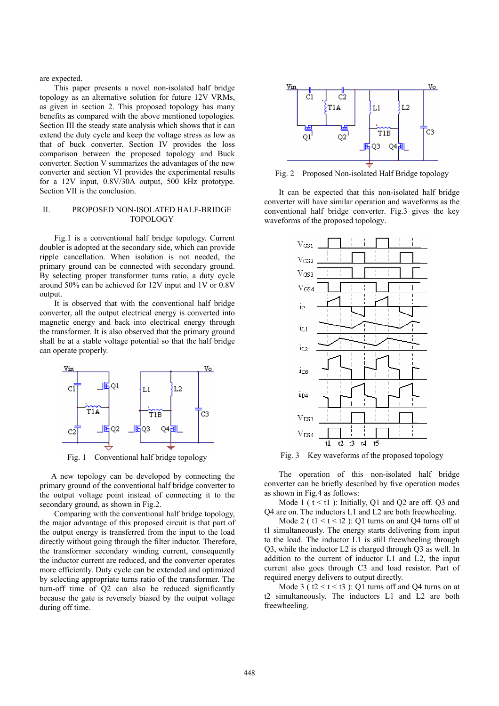are expected.

This paper presents a novel non-isolated half bridge topology as an alternative solution for future 12V VRMs, as given in section 2. This proposed topology has many benefits as compared with the above mentioned topologies. Section III the steady state analysis which shows that it can extend the duty cycle and keep the voltage stress as low as that of buck converter. Section IV provides the loss comparison between the proposed topology and Buck converter. Section V summarizes the advantages of the new converter and section VI provides the experimental results for a 12V input, 0.8V/30A output, 500 kHz prototype. Section VII is the conclusion.

## II. PROPOSED NON-ISOLATED HALF-BRIDGE TOPOLOGY

Fig.1 is a conventional half bridge topology. Current doubler is adopted at the secondary side, which can provide ripple cancellation. When isolation is not needed, the primary ground can be connected with secondary ground. By selecting proper transformer turns ratio, a duty cycle around 50% can be achieved for 12V input and 1V or 0.8V output.

It is observed that with the conventional half bridge converter, all the output electrical energy is converted into magnetic energy and back into electrical energy through the transformer. It is also observed that the primary ground shall be at a stable voltage potential so that the half bridge can operate properly.



Fig. 1 Conventional half bridge topology

A new topology can be developed by connecting the primary ground of the conventional half bridge converter to the output voltage point instead of connecting it to the secondary ground, as shown in Fig.2.

Comparing with the conventional half bridge topology, the major advantage of this proposed circuit is that part of the output energy is transferred from the input to the load directly without going through the filter inductor. Therefore, the transformer secondary winding current, consequently the inductor current are reduced, and the converter operates more efficiently. Duty cycle can be extended and optimized by selecting appropriate turns ratio of the transformer. The turn-off time of Q2 can also be reduced significantly because the gate is reversely biased by the output voltage during off time.



Fig. 2 Proposed Non-isolated Half Bridge topology

It can be expected that this non-isolated half bridge converter will have similar operation and waveforms as the conventional half bridge converter. Fig.3 gives the key waveforms of the proposed topology.



Fig. 3 Key waveforms of the proposed topology

The operation of this non-isolated half bridge converter can be briefly described by five operation modes as shown in Fig.4 as follows:

Mode 1 ( $t < t$ 1): Initially, Q1 and Q2 are off. Q3 and Q4 are on. The inductors L1 and L2 are both freewheeling.

Mode 2 ( $t1 < t < t2$ ): Q1 turns on and Q4 turns off at t1 simultaneously. The energy starts delivering from input to the load. The inductor L1 is still freewheeling through Q3, while the inductor L2 is charged through Q3 as well. In addition to the current of inductor L1 and L2, the input current also goes through C3 and load resistor. Part of required energy delivers to output directly.

Mode 3 ( $t2 < t < t3$ ): Q1 turns off and Q4 turns on at t2 simultaneously. The inductors L1 and L2 are both freewheeling.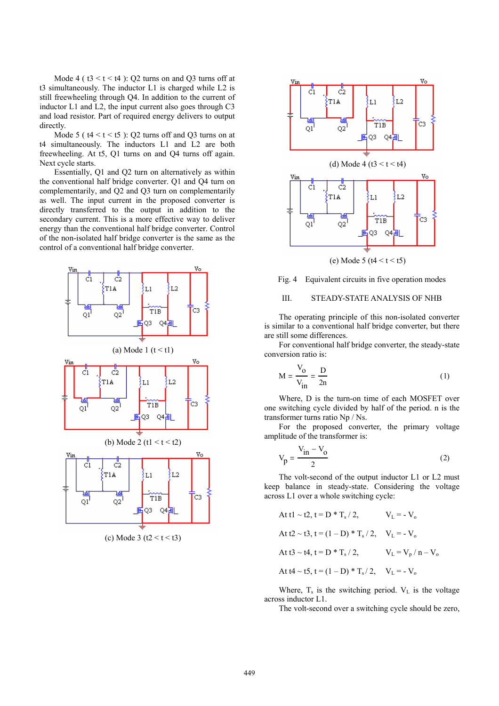Mode 4 ( $t3 < t < t4$ ): Q2 turns on and Q3 turns off at t3 simultaneously. The inductor L1 is charged while L2 is still freewheeling through Q4. In addition to the current of inductor L1 and L2, the input current also goes through C3 and load resistor. Part of required energy delivers to output directly.

Mode 5 ( $t4 < t < t5$ ): Q2 turns off and Q3 turns on at t4 simultaneously. The inductors L1 and L2 are both freewheeling. At t5, Q1 turns on and Q4 turns off again. Next cycle starts.

Essentially, Q1 and Q2 turn on alternatively as within the conventional half bridge converter. Q1 and Q4 turn on complementarily, and Q2 and Q3 turn on complementarily as well. The input current in the proposed converter is directly transferred to the output in addition to the secondary current. This is a more effective way to deliver energy than the conventional half bridge converter. Control of the non-isolated half bridge converter is the same as the control of a conventional half bridge converter.



(c) Mode 3 ( $t2 < t < t3$ )



Fig. 4 Equivalent circuits in five operation modes

## III. STEADY-STATE ANALYSIS OF NHB

The operating principle of this non-isolated converter is similar to a conventional half bridge converter, but there are still some differences.

For conventional half bridge converter, the steady-state conversion ratio is:

$$
M = \frac{V_o}{V_{in}} = \frac{D}{2n}
$$
 (1)

Where, D is the turn-on time of each MOSFET over one switching cycle divided by half of the period. n is the transformer turns ratio Np / Ns.

For the proposed converter, the primary voltage amplitude of the transformer is:

$$
V_p = \frac{V_{in} - V_o}{2} \tag{2}
$$

The volt-second of the output inductor L1 or L2 must keep balance in steady-state. Considering the voltage across L1 over a whole switching cycle:

At t1 ~ t2, t = D \* T<sub>s</sub> / 2, 
$$
V_L = -V_o
$$
  
\nAt t2 ~ t3, t = (1 – D) \* T<sub>s</sub> / 2,  $V_L = -V_o$   
\nAt t3 ~ t4, t = D \* T<sub>s</sub> / 2,  $V_L = V_p / n - V_o$   
\nAt t4 ~ t5, t = (1 – D) \* T<sub>s</sub> / 2,  $V_L = -V_o$ 

Where,  $T_s$  is the switching period.  $V_L$  is the voltage across inductor L1.

The volt-second over a switching cycle should be zero,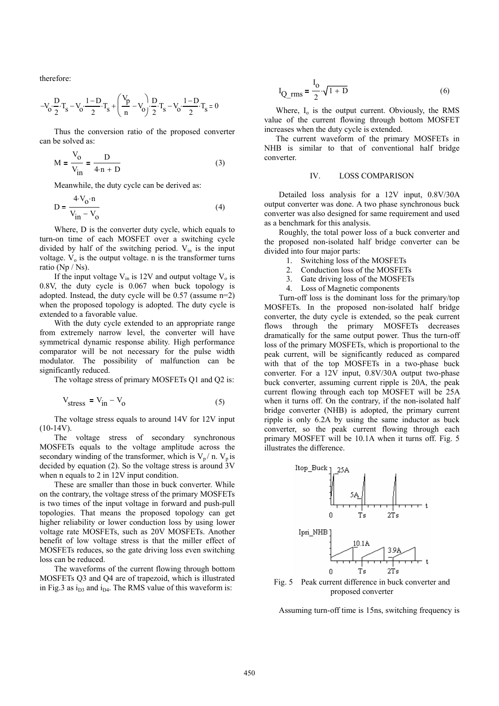therefore:

$$
-V_0 \cdot \frac{D}{2} \cdot T_s - V_0 \cdot \frac{1 - D}{2} \cdot T_s + \left(\frac{V_p}{n} - V_0\right) \cdot \frac{D}{2} \cdot T_s - V_0 \cdot \frac{1 - D}{2} \cdot T_s = 0
$$

Thus the conversion ratio of the proposed converter can be solved as:

$$
M = \frac{V_o}{V_{in}} = \frac{D}{4 \cdot n + D}
$$
 (3)

Meanwhile, the duty cycle can be derived as:

$$
D = \frac{4 \cdot V_0 \cdot n}{V_{in} - V_0}
$$
 (4)

Where, D is the converter duty cycle, which equals to turn-on time of each MOSFET over a switching cycle divided by half of the switching period.  $V_{in}$  is the input voltage.  $V_0$  is the output voltage. n is the transformer turns ratio (Np / Ns).

If the input voltage  $V_{in}$  is 12V and output voltage  $V_{o}$  is 0.8V, the duty cycle is 0.067 when buck topology is adopted. Instead, the duty cycle will be 0.57 (assume n=2) when the proposed topology is adopted. The duty cycle is extended to a favorable value.

With the duty cycle extended to an appropriate range from extremely narrow level, the converter will have symmetrical dynamic response ability. High performance comparator will be not necessary for the pulse width modulator. The possibility of malfunction can be significantly reduced.

The voltage stress of primary MOSFETs Q1 and Q2 is:

$$
V_{\text{stress}} = V_{\text{in}} - V_{\text{o}} \tag{5}
$$

The voltage stress equals to around 14V for 12V input  $(10-14V)$ .

The voltage stress of secondary synchronous MOSFETs equals to the voltage amplitude across the secondary winding of the transformer, which is  $V_p / n$ .  $V_p$  is decided by equation (2). So the voltage stress is around  $3V$ when n equals to 2 in 12V input condition.

These are smaller than those in buck converter. While on the contrary, the voltage stress of the primary MOSFETs is two times of the input voltage in forward and push-pull topologies. That means the proposed topology can get higher reliability or lower conduction loss by using lower voltage rate MOSFETs, such as 20V MOSFETs. Another benefit of low voltage stress is that the miller effect of MOSFETs reduces, so the gate driving loss even switching loss can be reduced.

The waveforms of the current flowing through bottom MOSFETs Q3 and Q4 are of trapezoid, which is illustrated in Fig.3 as  $i_{D3}$  and  $i_{D4}$ . The RMS value of this waveform is:

$$
I_{Q\_rms} = \frac{I_0}{2} \cdot \sqrt{1 + D}
$$
 (6)

Where,  $I_0$  is the output current. Obviously, the RMS value of the current flowing through bottom MOSFET increases when the duty cycle is extended.

The current waveform of the primary MOSFETs in NHB is similar to that of conventional half bridge converter.

#### IV. LOSS COMPARISON

Detailed loss analysis for a 12V input, 0.8V/30A output converter was done. A two phase synchronous buck converter was also designed for same requirement and used as a benchmark for this analysis.

Roughly, the total power loss of a buck converter and the proposed non-isolated half bridge converter can be divided into four major parts:

- 1. Switching loss of the MOSFETs
- 2. Conduction loss of the MOSFETs
- 3. Gate driving loss of the MOSFETs
- 4. Loss of Magnetic components

Turn-off loss is the dominant loss for the primary/top MOSFETs. In the proposed non-isolated half bridge converter, the duty cycle is extended, so the peak current flows through the primary MOSFETs decreases dramatically for the same output power. Thus the turn-off loss of the primary MOSFETs, which is proportional to the peak current, will be significantly reduced as compared with that of the top MOSFETs in a two-phase buck converter. For a 12V input, 0.8V/30A output two-phase buck converter, assuming current ripple is 20A, the peak current flowing through each top MOSFET will be 25A when it turns off. On the contrary, if the non-isolated half bridge converter (NHB) is adopted, the primary current ripple is only 6.2A by using the same inductor as buck converter, so the peak current flowing through each primary MOSFET will be 10.1A when it turns off. Fig. 5 illustrates the difference.



Fig. 5 Peak current difference in buck converter and proposed converter

Assuming turn-off time is 15ns, switching frequency is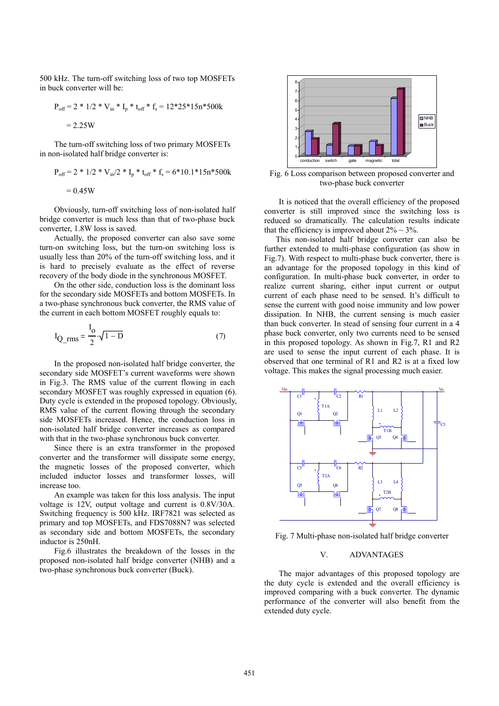500 kHz. The turn-off switching loss of two top MOSFETs in buck converter will be:

$$
P_{off} = 2 * 1/2 * V_{in} * I_p * t_{off} * f_s = 12 * 25 * 15n * 500k
$$

$$
= 2.25W
$$

The turn-off switching loss of two primary MOSFETs in non-isolated half bridge converter is:

$$
P_{off} = 2 * 1/2 * V_{in}/2 * I_p * t_{off} * f_s = 6 * 10.1 * 15n * 500k
$$
  
= 0.45W

Obviously, turn-off switching loss of non-isolated half bridge converter is much less than that of two-phase buck converter, 1.8W loss is saved.

Actually, the proposed converter can also save some turn-on switching loss, but the turn-on switching loss is usually less than 20% of the turn-off switching loss, and it is hard to precisely evaluate as the effect of reverse recovery of the body diode in the synchronous MOSFET.

On the other side, conduction loss is the dominant loss for the secondary side MOSFETs and bottom MOSFETs. In a two-phase synchronous buck converter, the RMS value of the current in each bottom MOSFET roughly equals to:

$$
I_{Q_{rms}} = \frac{I_o}{2} \sqrt{1 - D} \tag{7}
$$

In the proposed non-isolated half bridge converter, the secondary side MOSFET's current waveforms were shown in Fig.3. The RMS value of the current flowing in each secondary MOSFET was roughly expressed in equation (6). Duty cycle is extended in the proposed topology. Obviously, RMS value of the current flowing through the secondary side MOSFETs increased. Hence, the conduction loss in non-isolated half bridge converter increases as compared with that in the two-phase synchronous buck converter.

Since there is an extra transformer in the proposed converter and the transformer will dissipate some energy, the magnetic losses of the proposed converter, which included inductor losses and transformer losses, will increase too.

An example was taken for this loss analysis. The input voltage is 12V, output voltage and current is 0.8V/30A. Switching frequency is 500 kHz. IRF7821 was selected as primary and top MOSFETs, and FDS7088N7 was selected as secondary side and bottom MOSFETs, the secondary inductor is 250nH.

Fig.6 illustrates the breakdown of the losses in the proposed non-isolated half bridge converter (NHB) and a two-phase synchronous buck converter (Buck).



Fig. 6 Loss comparison between proposed converter and two-phase buck converter

It is noticed that the overall efficiency of the proposed converter is still improved since the switching loss is reduced so dramatically. The calculation results indicate that the efficiency is improved about  $2\% \sim 3\%$ .

This non-isolated half bridge converter can also be further extended to multi-phase configuration (as show in Fig.7). With respect to multi-phase buck converter, there is an advantage for the proposed topology in this kind of configuration. In multi-phase buck converter, in order to realize current sharing, either input current or output current of each phase need to be sensed. It's difficult to sense the current with good noise immunity and low power dissipation. In NHB, the current sensing is much easier than buck converter. In stead of sensing four current in a 4 phase buck converter, only two currents need to be sensed in this proposed topology. As shown in Fig.7, R1 and R2 are used to sense the input current of each phase. It is observed that one terminal of R1 and R2 is at a fixed low voltage. This makes the signal processing much easier.



Fig. 7 Multi-phase non-isolated half bridge converter

## V. ADVANTAGES

The major advantages of this proposed topology are the duty cycle is extended and the overall efficiency is improved comparing with a buck converter. The dynamic performance of the converter will also benefit from the extended duty cycle.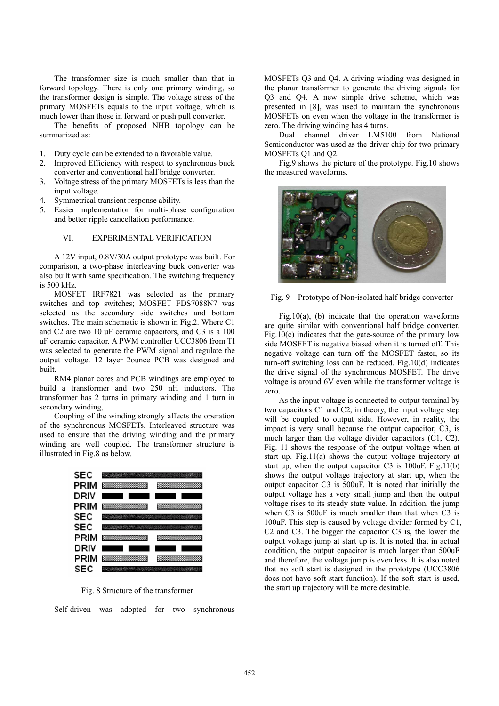The transformer size is much smaller than that in forward topology. There is only one primary winding, so the transformer design is simple. The voltage stress of the primary MOSFETs equals to the input voltage, which is much lower than those in forward or push pull converter.

The benefits of proposed NHB topology can be summarized as:

- 1. Duty cycle can be extended to a favorable value.
- 2. Improved Efficiency with respect to synchronous buck converter and conventional half bridge converter.
- 3. Voltage stress of the primary MOSFETs is less than the input voltage.
- 4. Symmetrical transient response ability.
- 5. Easier implementation for multi-phase configuration and better ripple cancellation performance.

### VI. EXPERIMENTAL VERIFICATION

A 12V input, 0.8V/30A output prototype was built. For comparison, a two-phase interleaving buck converter was also built with same specification. The switching frequency is 500 kHz.

MOSFET IRF7821 was selected as the primary switches and top switches; MOSFET FDS7088N7 was selected as the secondary side switches and bottom switches. The main schematic is shown in Fig.2. Where C1 and C2 are two 10 uF ceramic capacitors, and C3 is a 100 uF ceramic capacitor. A PWM controller UCC3806 from TI was selected to generate the PWM signal and regulate the output voltage. 12 layer 2ounce PCB was designed and built.

RM4 planar cores and PCB windings are employed to build a transformer and two 250 nH inductors. The transformer has 2 turns in primary winding and 1 turn in secondary winding,

Coupling of the winding strongly affects the operation of the synchronous MOSFETs. Interleaved structure was used to ensure that the driving winding and the primary winding are well coupled. The transformer structure is illustrated in Fig.8 as below.



Fig. 8 Structure of the transformer

Self-driven was adopted for two synchronous

MOSFETs Q3 and Q4. A driving winding was designed in the planar transformer to generate the driving signals for Q3 and Q4. A new simple drive scheme, which was presented in [8], was used to maintain the synchronous MOSFETs on even when the voltage in the transformer is zero. The driving winding has 4 turns.

Dual channel driver LM5100 from National Semiconductor was used as the driver chip for two primary MOSFETs Q1 and Q2.

Fig.9 shows the picture of the prototype. Fig.10 shows the measured waveforms.



Fig. 9 Prototype of Non-isolated half bridge converter

Fig.10(a), (b) indicate that the operation waveforms are quite similar with conventional half bridge converter. Fig.10(c) indicates that the gate-source of the primary low side MOSFET is negative biased when it is turned off. This negative voltage can turn off the MOSFET faster, so its turn-off switching loss can be reduced. Fig.10(d) indicates the drive signal of the synchronous MOSFET. The drive voltage is around 6V even while the transformer voltage is zero.

As the input voltage is connected to output terminal by two capacitors C1 and C2, in theory, the input voltage step will be coupled to output side. However, in reality, the impact is very small because the output capacitor, C3, is much larger than the voltage divider capacitors (C1, C2). Fig. 11 shows the response of the output voltage when at start up. Fig.11(a) shows the output voltage trajectory at start up, when the output capacitor C3 is 100uF. Fig.11(b) shows the output voltage trajectory at start up, when the output capacitor C3 is 500uF. It is noted that initially the output voltage has a very small jump and then the output voltage rises to its steady state value. In addition, the jump when C3 is 500uF is much smaller than that when C3 is 100uF. This step is caused by voltage divider formed by C1, C2 and C3. The bigger the capacitor C3 is, the lower the output voltage jump at start up is. It is noted that in actual condition, the output capacitor is much larger than 500uF and therefore, the voltage jump is even less. It is also noted that no soft start is designed in the prototype (UCC3806 does not have soft start function). If the soft start is used, the start up trajectory will be more desirable.